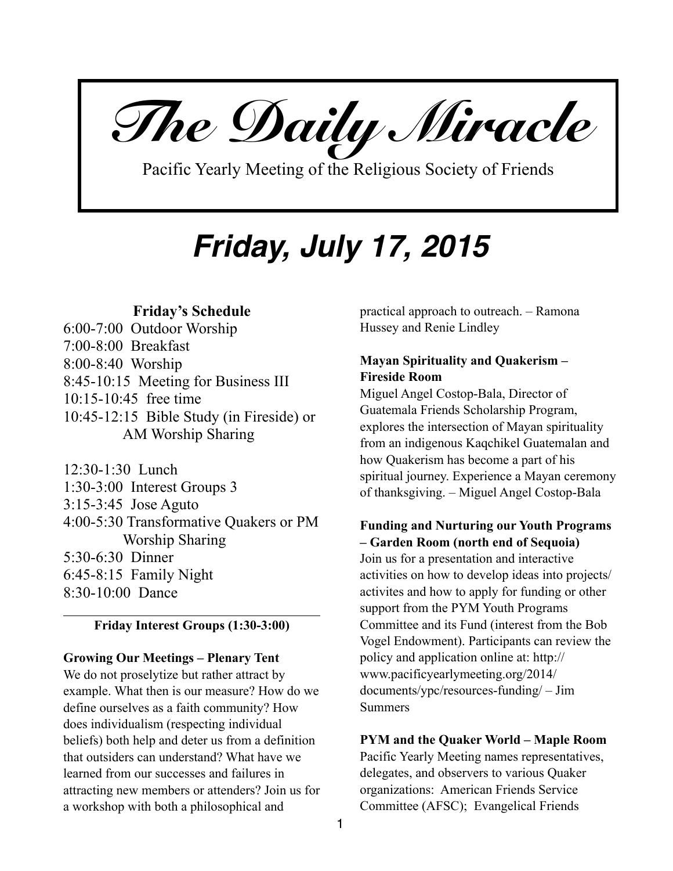*The Daily Miracle* 

Pacific Yearly Meeting of the Religious Society of Friends

# *Friday, July 17, 2015*

# **Friday's Schedule**

6:00-7:00 Outdoor Worship 7:00-8:00 Breakfast 8:00-8:40 Worship 8:45-10:15 Meeting for Business III 10:15-10:45 free time 10:45-12:15 Bible Study (in Fireside) or AM Worship Sharing

12:30-1:30 Lunch 1:30-3:00 Interest Groups 3 3:15-3:45 Jose Aguto 4:00-5:30 Transformative Quakers or PM Worship Sharing 5:30-6:30 Dinner 6:45-8:15 Family Night 8:30-10:00 Dance

# **Friday Interest Groups (1:30-3:00)**

## **Growing Our Meetings – Plenary Tent**

We do not proselytize but rather attract by example. What then is our measure? How do we define ourselves as a faith community? How does individualism (respecting individual beliefs) both help and deter us from a definition that outsiders can understand? What have we learned from our successes and failures in attracting new members or attenders? Join us for a workshop with both a philosophical and

practical approach to outreach. – Ramona Hussey and Renie Lindley

# **Mayan Spirituality and Quakerism – Fireside Room**

Miguel Angel Costop-Bala, Director of Guatemala Friends Scholarship Program, explores the intersection of Mayan spirituality from an indigenous Kaqchikel Guatemalan and how Quakerism has become a part of his spiritual journey. Experience a Mayan ceremony of thanksgiving. – Miguel Angel Costop-Bala

# **Funding and Nurturing our Youth Programs – Garden Room (north end of Sequoia)**

Join us for a presentation and interactive activities on how to develop ideas into projects/ activites and how to apply for funding or other support from the PYM Youth Programs Committee and its Fund (interest from the Bob Vogel Endowment). Participants can review the policy and application online at: http:// www.pacificyearlymeeting.org/2014/ documents/ypc/resources-funding/ – Jim Summers

## **PYM and the Quaker World – Maple Room**

Pacific Yearly Meeting names representatives, delegates, and observers to various Quaker organizations: American Friends Service Committee (AFSC); Evangelical Friends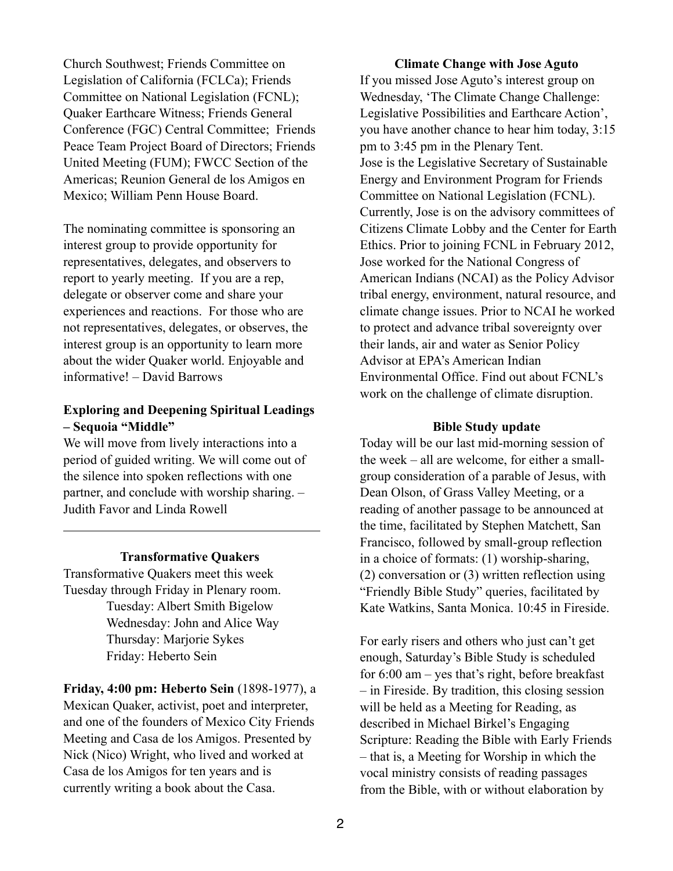Church Southwest; Friends Committee on Legislation of California (FCLCa); Friends Committee on National Legislation (FCNL); Quaker Earthcare Witness; Friends General Conference (FGC) Central Committee; Friends Peace Team Project Board of Directors; Friends United Meeting (FUM); FWCC Section of the Americas; Reunion General de los Amigos en Mexico; William Penn House Board.

The nominating committee is sponsoring an interest group to provide opportunity for representatives, delegates, and observers to report to yearly meeting. If you are a rep, delegate or observer come and share your experiences and reactions. For those who are not representatives, delegates, or observes, the interest group is an opportunity to learn more about the wider Quaker world. Enjoyable and informative! – David Barrows

# **Exploring and Deepening Spiritual Leadings – Sequoia "Middle"**

We will move from lively interactions into a period of guided writing. We will come out of the silence into spoken reflections with one partner, and conclude with worship sharing. – Judith Favor and Linda Rowell

## **Transformative Quakers**

Transformative Quakers meet this week Tuesday through Friday in Plenary room. Tuesday: Albert Smith Bigelow Wednesday: John and Alice Way Thursday: Marjorie Sykes Friday: Heberto Sein

**Friday, 4:00 pm: Heberto Sein** (1898-1977), a Mexican Quaker, activist, poet and interpreter, and one of the founders of Mexico City Friends Meeting and Casa de los Amigos. Presented by Nick (Nico) Wright, who lived and worked at Casa de los Amigos for ten years and is currently writing a book about the Casa.

**Climate Change with Jose Aguto**  If you missed Jose Aguto's interest group on Wednesday, 'The Climate Change Challenge: Legislative Possibilities and Earthcare Action', you have another chance to hear him today, 3:15 pm to 3:45 pm in the Plenary Tent. Jose is the Legislative Secretary of Sustainable Energy and Environment Program for Friends Committee on National Legislation (FCNL). Currently, Jose is on the advisory committees of Citizens Climate Lobby and the Center for Earth Ethics. Prior to joining FCNL in February 2012, Jose worked for the National Congress of American Indians (NCAI) as the Policy Advisor tribal energy, environment, natural resource, and climate change issues. Prior to NCAI he worked to protect and advance tribal sovereignty over their lands, air and water as Senior Policy Advisor at EPA's American Indian Environmental Office. Find out about FCNL's work on the challenge of climate disruption.

#### **Bible Study update**

Today will be our last mid-morning session of the week – all are welcome, for either a smallgroup consideration of a parable of Jesus, with Dean Olson, of Grass Valley Meeting, or a reading of another passage to be announced at the time, facilitated by Stephen Matchett, San Francisco, followed by small-group reflection in a choice of formats: (1) worship-sharing, (2) conversation or (3) written reflection using "Friendly Bible Study" queries, facilitated by Kate Watkins, Santa Monica. 10:45 in Fireside.

For early risers and others who just can't get enough, Saturday's Bible Study is scheduled for 6:00 am – yes that's right, before breakfast – in Fireside. By tradition, this closing session will be held as a Meeting for Reading, as described in Michael Birkel's Engaging Scripture: Reading the Bible with Early Friends – that is, a Meeting for Worship in which the vocal ministry consists of reading passages from the Bible, with or without elaboration by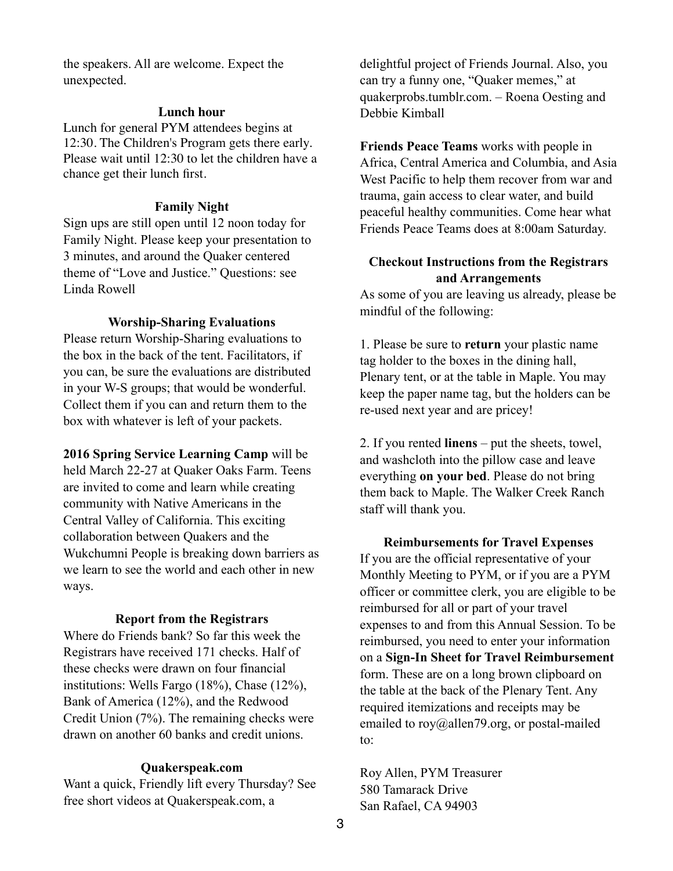the speakers. All are welcome. Expect the unexpected.

#### **Lunch hour**

Lunch for general PYM attendees begins at 12:30. The Children's Program gets there early. Please wait until 12:30 to let the children have a chance get their lunch first.

#### **Family Night**

Sign ups are still open until 12 noon today for Family Night. Please keep your presentation to 3 minutes, and around the Quaker centered theme of "Love and Justice." Questions: see Linda Rowell

#### **Worship-Sharing Evaluations**

Please return Worship-Sharing evaluations to the box in the back of the tent. Facilitators, if you can, be sure the evaluations are distributed in your W-S groups; that would be wonderful. Collect them if you can and return them to the box with whatever is left of your packets.

**2016 Spring Service Learning Camp** will be held March 22-27 at Quaker Oaks Farm. Teens are invited to come and learn while creating community with Native Americans in the Central Valley of California. This exciting collaboration between Quakers and the Wukchumni People is breaking down barriers as we learn to see the world and each other in new ways.

#### **Report from the Registrars**

Where do Friends bank? So far this week the Registrars have received 171 checks. Half of these checks were drawn on four financial institutions: Wells Fargo (18%), Chase (12%), Bank of America (12%), and the Redwood Credit Union (7%). The remaining checks were drawn on another 60 banks and credit unions.

## **Quakerspeak.com**

Want a quick, Friendly lift every Thursday? See free short videos at Quakerspeak.com, a

delightful project of Friends Journal. Also, you can try a funny one, "Quaker memes," at quakerprobs.tumblr.com. – Roena Oesting and Debbie Kimball

**Friends Peace Teams** works with people in Africa, Central America and Columbia, and Asia West Pacific to help them recover from war and trauma, gain access to clear water, and build peaceful healthy communities. Come hear what Friends Peace Teams does at 8:00am Saturday.

# **Checkout Instructions from the Registrars and Arrangements**

As some of you are leaving us already, please be mindful of the following:

1. Please be sure to **return** your plastic name tag holder to the boxes in the dining hall, Plenary tent, or at the table in Maple. You may keep the paper name tag, but the holders can be re-used next year and are pricey!

2. If you rented **linens** – put the sheets, towel, and washcloth into the pillow case and leave everything **on your bed**. Please do not bring them back to Maple. The Walker Creek Ranch staff will thank you.

**Reimbursements for Travel Expenses**  If you are the official representative of your Monthly Meeting to PYM, or if you are a PYM officer or committee clerk, you are eligible to be reimbursed for all or part of your travel expenses to and from this Annual Session. To be reimbursed, you need to enter your information on a **Sign-In Sheet for Travel Reimbursement** form. These are on a long brown clipboard on the table at the back of the Plenary Tent. Any required itemizations and receipts may be emailed to roy@allen79.org, or postal-mailed to:

Roy Allen, PYM Treasurer 580 Tamarack Drive San Rafael, CA 94903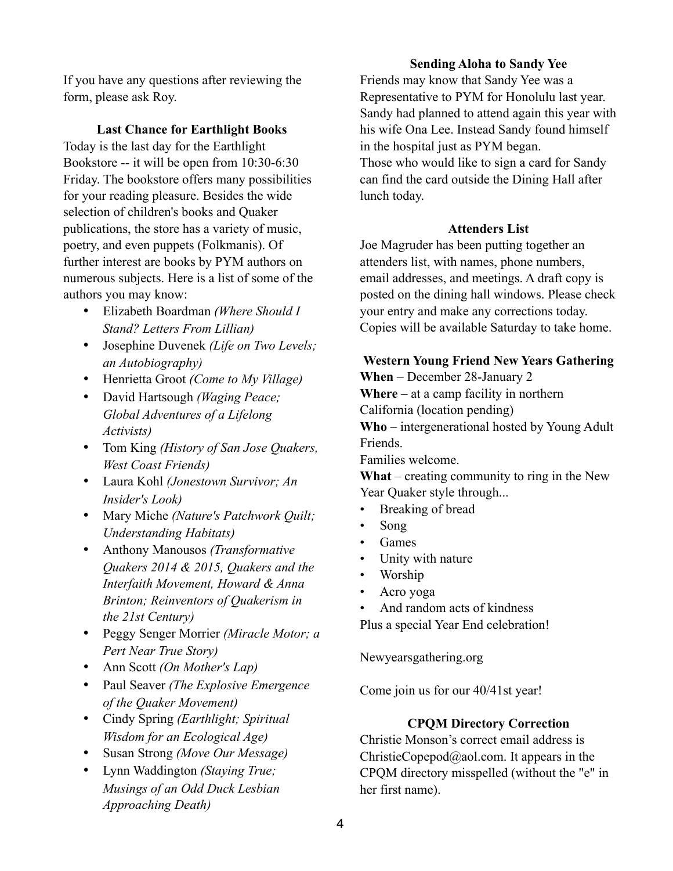If you have any questions after reviewing the form, please ask Roy.

# **Last Chance for Earthlight Books**

Today is the last day for the Earthlight Bookstore -- it will be open from 10:30-6:30 Friday. The bookstore offers many possibilities for your reading pleasure. Besides the wide selection of children's books and Quaker publications, the store has a variety of music, poetry, and even puppets (Folkmanis). Of further interest are books by PYM authors on numerous subjects. Here is a list of some of the authors you may know:

- Elizabeth Boardman *(Where Should I Stand? Letters From Lillian)*
- Josephine Duvenek *(Life on Two Levels; an Autobiography)*
- Henrietta Groot *(Come to My Village)*
- David Hartsough *(Waging Peace; Global Adventures of a Lifelong Activists)*
- Tom King *(History of San Jose Quakers, West Coast Friends)*
- Laura Kohl *(Jonestown Survivor; An Insider's Look)*
- Mary Miche *(Nature's Patchwork Quilt; Understanding Habitats)*
- Anthony Manousos *(Transformative Quakers 2014 & 2015, Quakers and the Interfaith Movement, Howard & Anna Brinton; Reinventors of Quakerism in the 21st Century)*
- Peggy Senger Morrier *(Miracle Motor; a Pert Near True Story)*
- Ann Scott *(On Mother's Lap)*
- Paul Seaver *(The Explosive Emergence of the Quaker Movement)*
- Cindy Spring *(Earthlight; Spiritual Wisdom for an Ecological Age)*
- Susan Strong *(Move Our Message)*
- Lynn Waddington *(Staying True; Musings of an Odd Duck Lesbian Approaching Death)*

# **Sending Aloha to Sandy Yee**

Friends may know that Sandy Yee was a Representative to PYM for Honolulu last year. Sandy had planned to attend again this year with his wife Ona Lee. Instead Sandy found himself in the hospital just as PYM began. Those who would like to sign a card for Sandy can find the card outside the Dining Hall after lunch today.

## **Attenders List**

Joe Magruder has been putting together an attenders list, with names, phone numbers, email addresses, and meetings. A draft copy is posted on the dining hall windows. Please check your entry and make any corrections today. Copies will be available Saturday to take home.

# **Western Young Friend New Years Gathering**

**When** – December 28-January 2

**Where** – at a camp facility in northern

California (location pending)

**Who** – intergenerational hosted by Young Adult Friends.

Families welcome.

**What** – creating community to ring in the New Year Quaker style through...

- Breaking of bread
- Song
- Games
- Unity with nature
- Worship
- Acro yoga
- And random acts of kindness

Plus a special Year End celebration!

Newyearsgathering.org

Come join us for our 40/41st year!

# **CPQM Directory Correction**

Christie Monson's correct email address is ChristieCopepod@aol.com. It appears in the CPQM directory misspelled (without the "e" in her first name).